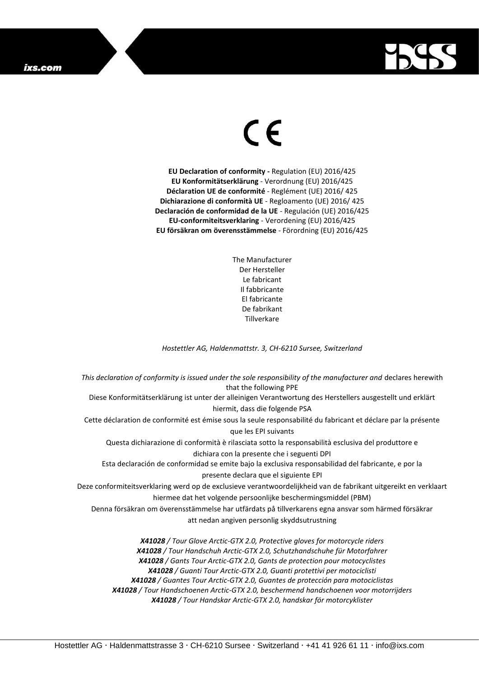

## $\epsilon$

**EU Declaration of conformity -** Regulation (EU) 2016/425 **EU Konformitätserklärung** - Verordnung (EU) 2016/425 **Déclaration UE de conformité** - Reglément (UE) 2016/ 425 **Dichiarazione di conformità UE** - Regloamento (UE) 2016/ 425 **Declaración de conformidad de la UE** - Regulación (UE) 2016/425 **EU-conformiteitsverklaring** - Verordening (EU) 2016/425 **EU försäkran om överensstämmelse** - Förordning (EU) 2016/425

> The Manufacturer Der Hersteller Le fabricant Il fabbricante El fabricante De fabrikant **Tillverkare**

*Hostettler AG, Haldenmattstr. 3, CH-6210 Sursee, Switzerland*

*This declaration of conformity is issued under the sole responsibility of the manufacturer and* declares herewith that the following PPE Diese Konformitätserklärung ist unter der alleinigen Verantwortung des Herstellers ausgestellt und erklärt hiermit, dass die folgende PSA Cette déclaration de conformité est émise sous la seule responsabilité du fabricant et déclare par la présente que les EPI suivants Questa dichiarazione di conformità è rilasciata sotto la responsabilità esclusiva del produttore e dichiara con la presente che i seguenti DPI Esta declaración de conformidad se emite bajo la exclusiva responsabilidad del fabricante, e por la presente declara que el siguiente EPI Deze conformiteitsverklaring werd op de exclusieve verantwoordelijkheid van de fabrikant uitgereikt en verklaart hiermee dat het volgende persoonlijke beschermingsmiddel (PBM) Denna försäkran om överensstämmelse har utfärdats på tillverkarens egna ansvar som härmed försäkrar att nedan angiven personlig skyddsutrustning *X41028 / Tour Glove Arctic-GTX 2.0, Protective gloves for motorcycle riders X41028 / Tour Handschuh Arctic-GTX 2.0, Schutzhandschuhe für Motorfahrer X41028 / Gants Tour Arctic-GTX 2.0, Gants de protection pour motocyclistes*

*X41028 / Guanti Tour Arctic-GTX 2.0, Guanti protettivi per motociclisti X41028 / Guantes Tour Arctic-GTX 2.0, Guantes de protección para motociclistas X41028 / Tour Handschoenen Arctic-GTX 2.0, beschermend handschoenen voor motorrijders X41028 / Tour Handskar Arctic-GTX 2.0, handskar för motorcyklister*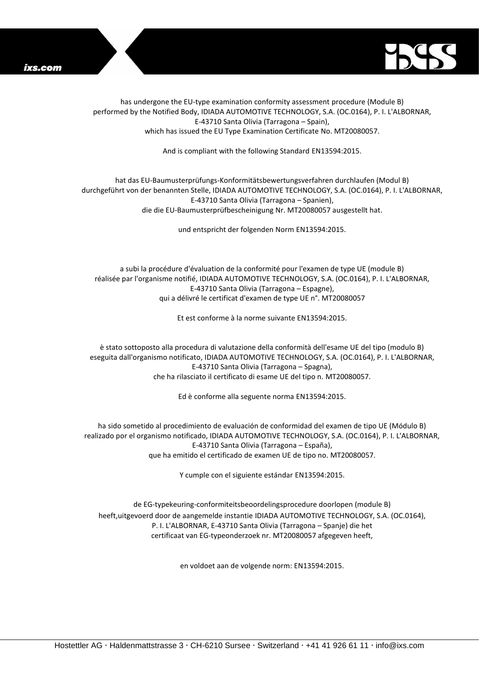



has undergone the EU-type examination conformity assessment procedure (Module B) performed by the Notified Body, IDIADA AUTOMOTIVE TECHNOLOGY, S.A. (OC.0164), P. I. L'ALBORNAR, E-43710 Santa Olivia (Tarragona – Spain), which has issued the EU Type Examination Certificate No. MT20080057.

And is compliant with the following Standard EN13594:2015.

## hat das EU-Baumusterprüfungs-Konformitätsbewertungsverfahren durchlaufen (Modul B) durchgeführt von der benannten Stelle, IDIADA AUTOMOTIVE TECHNOLOGY, S.A. (OC.0164), P. I. L'ALBORNAR, E-43710 Santa Olivia (Tarragona – Spanien), die die EU-Baumusterprüfbescheinigung Nr. MT20080057 ausgestellt hat.

und entspricht der folgenden Norm EN13594:2015.

a subi la procédure d'évaluation de la conformité pour l'examen de type UE (module B) réalisée par l'organisme notifié, IDIADA AUTOMOTIVE TECHNOLOGY, S.A. (OC.0164), P. I. L'ALBORNAR, E-43710 Santa Olivia (Tarragona – Espagne), qui a délivré le certificat d'examen de type UE n°. MT20080057

Et est conforme à la norme suivante EN13594:2015.

è stato sottoposto alla procedura di valutazione della conformità dell'esame UE del tipo (modulo B) eseguita dall'organismo notificato, IDIADA AUTOMOTIVE TECHNOLOGY, S.A. (OC.0164), P. I. L'ALBORNAR, E-43710 Santa Olivia (Tarragona – Spagna), che ha rilasciato il certificato di esame UE del tipo n. MT20080057.

Ed è conforme alla seguente norma EN13594:2015.

ha sido sometido al procedimiento de evaluación de conformidad del examen de tipo UE (Módulo B) realizado por el organismo notificado, IDIADA AUTOMOTIVE TECHNOLOGY, S.A. (OC.0164), P. I. L'ALBORNAR, E-43710 Santa Olivia (Tarragona – España), que ha emitido el certificado de examen UE de tipo no. MT20080057.

Y cumple con el siguiente estándar EN13594:2015.

de EG-typekeuring-conformiteitsbeoordelingsprocedure doorlopen (module B) heeft,uitgevoerd door de aangemelde instantie IDIADA AUTOMOTIVE TECHNOLOGY, S.A. (OC.0164), P. I. L'ALBORNAR, E-43710 Santa Olivia (Tarragona – Spanje) die het certificaat van EG-typeonderzoek nr. MT20080057 afgegeven heeft,

en voldoet aan de volgende norm: EN13594:2015.